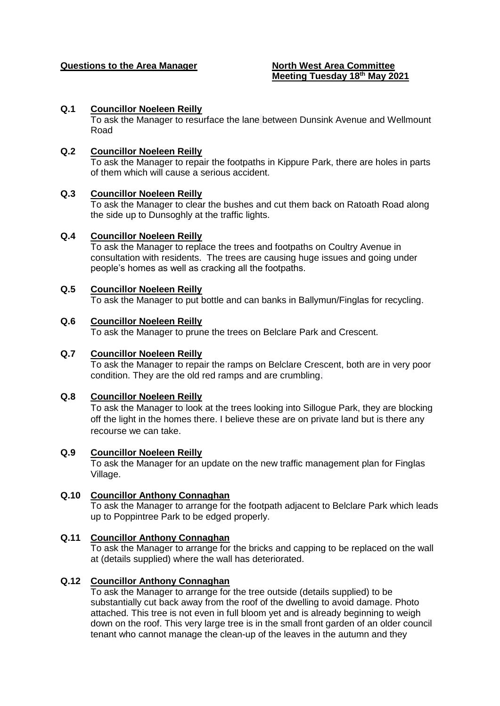## **Questions to the Area Manager North West Area Committee**

# **Meeting Tuesday 18th May 2021**

## **Q.1 Councillor Noeleen Reilly**

To ask the Manager to resurface the lane between Dunsink Avenue and Wellmount Road

#### **Q.2 Councillor Noeleen Reilly**

To ask the Manager to repair the footpaths in Kippure Park, there are holes in parts of them which will cause a serious accident.

#### **Q.3 Councillor Noeleen Reilly**

To ask the Manager to clear the bushes and cut them back on Ratoath Road along the side up to Dunsoghly at the traffic lights.

## **Q.4 Councillor Noeleen Reilly**

To ask the Manager to replace the trees and footpaths on Coultry Avenue in consultation with residents. The trees are causing huge issues and going under people's homes as well as cracking all the footpaths.

#### **Q.5 Councillor Noeleen Reilly**

To ask the Manager to put bottle and can banks in Ballymun/Finglas for recycling.

#### **Q.6 Councillor Noeleen Reilly**

To ask the Manager to prune the trees on Belclare Park and Crescent.

#### **Q.7 Councillor Noeleen Reilly**

To ask the Manager to repair the ramps on Belclare Crescent, both are in very poor condition. They are the old red ramps and are crumbling.

#### **Q.8 Councillor Noeleen Reilly**

To ask the Manager to look at the trees looking into Sillogue Park, they are blocking off the light in the homes there. I believe these are on private land but is there any recourse we can take.

#### **Q.9 Councillor Noeleen Reilly**

To ask the Manager for an update on the new traffic management plan for Finglas Village.

#### **Q.10 Councillor Anthony Connaghan**

To ask the Manager to arrange for the footpath adjacent to Belclare Park which leads up to Poppintree Park to be edged properly.

#### **Q.11 Councillor Anthony Connaghan**

To ask the Manager to arrange for the bricks and capping to be replaced on the wall at (details supplied) where the wall has deteriorated.

#### **Q.12 Councillor Anthony Connaghan**

To ask the Manager to arrange for the tree outside (details supplied) to be substantially cut back away from the roof of the dwelling to avoid damage. Photo attached. This tree is not even in full bloom yet and is already beginning to weigh down on the roof. This very large tree is in the small front garden of an older council tenant who cannot manage the clean-up of the leaves in the autumn and they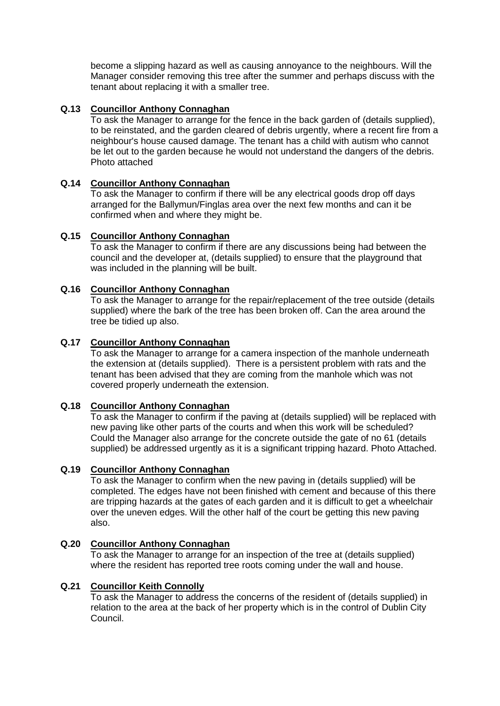become a slipping hazard as well as causing annoyance to the neighbours. Will the Manager consider removing this tree after the summer and perhaps discuss with the tenant about replacing it with a smaller tree.

# **Q.13 Councillor Anthony Connaghan**

To ask the Manager to arrange for the fence in the back garden of (details supplied), to be reinstated, and the garden cleared of debris urgently, where a recent fire from a neighbour's house caused damage. The tenant has a child with autism who cannot be let out to the garden because he would not understand the dangers of the debris. Photo attached

# **Q.14 Councillor Anthony Connaghan**

To ask the Manager to confirm if there will be any electrical goods drop off days arranged for the Ballymun/Finglas area over the next few months and can it be confirmed when and where they might be.

# **Q.15 Councillor Anthony Connaghan**

To ask the Manager to confirm if there are any discussions being had between the council and the developer at, (details supplied) to ensure that the playground that was included in the planning will be built.

# **Q.16 Councillor Anthony Connaghan**

To ask the Manager to arrange for the repair/replacement of the tree outside (details supplied) where the bark of the tree has been broken off. Can the area around the tree be tidied up also.

# **Q.17 Councillor Anthony Connaghan**

To ask the Manager to arrange for a camera inspection of the manhole underneath the extension at (details supplied). There is a persistent problem with rats and the tenant has been advised that they are coming from the manhole which was not covered properly underneath the extension.

## **Q.18 Councillor Anthony Connaghan**

To ask the Manager to confirm if the paving at (details supplied) will be replaced with new paving like other parts of the courts and when this work will be scheduled? Could the Manager also arrange for the concrete outside the gate of no 61 (details supplied) be addressed urgently as it is a significant tripping hazard. Photo Attached.

# **Q.19 Councillor Anthony Connaghan**

To ask the Manager to confirm when the new paving in (details supplied) will be completed. The edges have not been finished with cement and because of this there are tripping hazards at the gates of each garden and it is difficult to get a wheelchair over the uneven edges. Will the other half of the court be getting this new paving also.

## **Q.20 Councillor Anthony Connaghan**

To ask the Manager to arrange for an inspection of the tree at (details supplied) where the resident has reported tree roots coming under the wall and house.

# **Q.21 Councillor Keith Connolly**

To ask the Manager to address the concerns of the resident of (details supplied) in relation to the area at the back of her property which is in the control of Dublin City Council.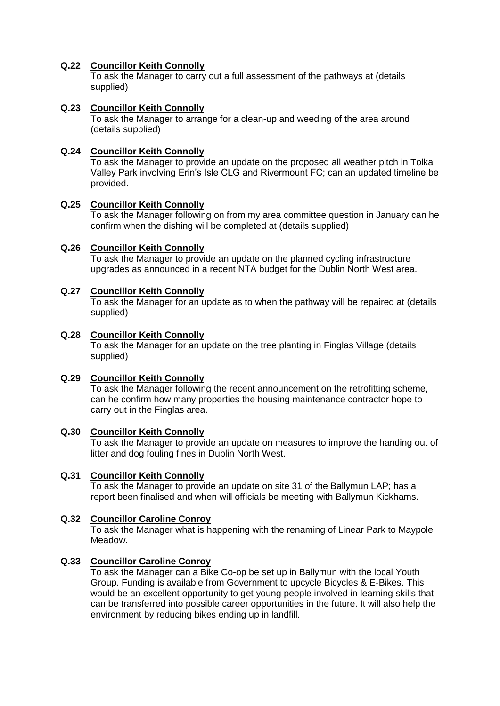# **Q.22 Councillor Keith Connolly**

To ask the Manager to carry out a full assessment of the pathways at (details supplied)

# **Q.23 Councillor Keith Connolly**

To ask the Manager to arrange for a clean-up and weeding of the area around (details supplied)

## **Q.24 Councillor Keith Connolly**

To ask the Manager to provide an update on the proposed all weather pitch in Tolka Valley Park involving Erin's Isle CLG and Rivermount FC; can an updated timeline be provided.

## **Q.25 Councillor Keith Connolly**

To ask the Manager following on from my area committee question in January can he confirm when the dishing will be completed at (details supplied)

# **Q.26 Councillor Keith Connolly**

To ask the Manager to provide an update on the planned cycling infrastructure upgrades as announced in a recent NTA budget for the Dublin North West area.

# **Q.27 Councillor Keith Connolly**

To ask the Manager for an update as to when the pathway will be repaired at (details supplied)

# **Q.28 Councillor Keith Connolly**

To ask the Manager for an update on the tree planting in Finglas Village (details supplied)

## **Q.29 Councillor Keith Connolly**

To ask the Manager following the recent announcement on the retrofitting scheme, can he confirm how many properties the housing maintenance contractor hope to carry out in the Finglas area.

## **Q.30 Councillor Keith Connolly**

To ask the Manager to provide an update on measures to improve the handing out of litter and dog fouling fines in Dublin North West.

# **Q.31 Councillor Keith Connolly**

To ask the Manager to provide an update on site 31 of the Ballymun LAP; has a report been finalised and when will officials be meeting with Ballymun Kickhams.

## **Q.32 Councillor Caroline Conroy**

To ask the Manager what is happening with the renaming of Linear Park to Maypole Meadow.

## **Q.33 Councillor Caroline Conroy**

To ask the Manager can a Bike Co-op be set up in Ballymun with the local Youth Group. Funding is available from Government to upcycle Bicycles & E-Bikes. This would be an excellent opportunity to get young people involved in learning skills that can be transferred into possible career opportunities in the future. It will also help the environment by reducing bikes ending up in landfill.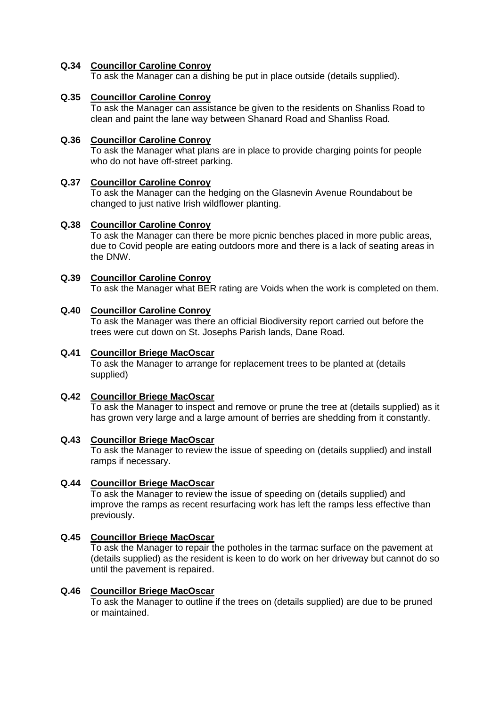# **Q.34 Councillor Caroline Conroy**

To ask the Manager can a dishing be put in place outside (details supplied).

#### **Q.35 Councillor Caroline Conroy**

To ask the Manager can assistance be given to the residents on Shanliss Road to clean and paint the lane way between Shanard Road and Shanliss Road.

## **Q.36 Councillor Caroline Conroy**

To ask the Manager what plans are in place to provide charging points for people who do not have off-street parking.

#### **Q.37 Councillor Caroline Conroy**

To ask the Manager can the hedging on the Glasnevin Avenue Roundabout be changed to just native Irish wildflower planting.

#### **Q.38 Councillor Caroline Conroy**

To ask the Manager can there be more picnic benches placed in more public areas, due to Covid people are eating outdoors more and there is a lack of seating areas in the DNW.

#### **Q.39 Councillor Caroline Conroy**

To ask the Manager what BER rating are Voids when the work is completed on them.

#### **Q.40 Councillor Caroline Conroy**

To ask the Manager was there an official Biodiversity report carried out before the trees were cut down on St. Josephs Parish lands, Dane Road.

# **Q.41 Councillor Briege MacOscar**

To ask the Manager to arrange for replacement trees to be planted at (details supplied)

#### **Q.42 Councillor Briege MacOscar**

To ask the Manager to inspect and remove or prune the tree at (details supplied) as it has grown very large and a large amount of berries are shedding from it constantly.

#### **Q.43 Councillor Briege MacOscar**

To ask the Manager to review the issue of speeding on (details supplied) and install ramps if necessary.

#### **Q.44 Councillor Briege MacOscar**

To ask the Manager to review the issue of speeding on (details supplied) and improve the ramps as recent resurfacing work has left the ramps less effective than previously.

#### **Q.45 Councillor Briege MacOscar**

To ask the Manager to repair the potholes in the tarmac surface on the pavement at (details supplied) as the resident is keen to do work on her driveway but cannot do so until the pavement is repaired.

#### **Q.46 Councillor Briege MacOscar**

To ask the Manager to outline if the trees on (details supplied) are due to be pruned or maintained.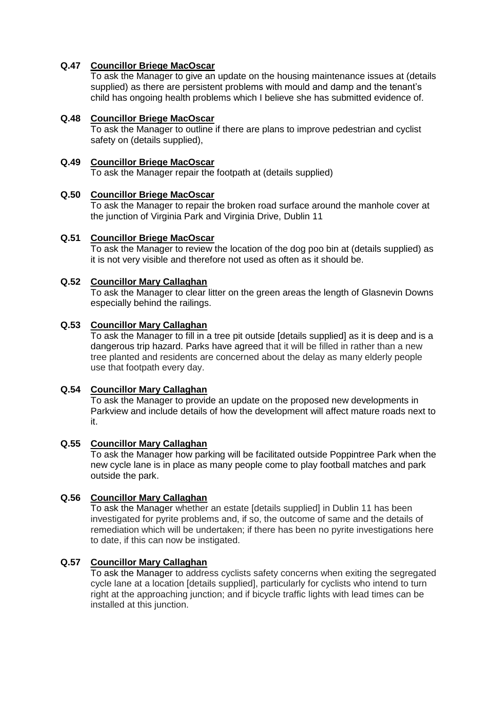# **Q.47 Councillor Briege MacOscar**

To ask the Manager to give an update on the housing maintenance issues at (details supplied) as there are persistent problems with mould and damp and the tenant's child has ongoing health problems which I believe she has submitted evidence of.

## **Q.48 Councillor Briege MacOscar**

To ask the Manager to outline if there are plans to improve pedestrian and cyclist safety on (details supplied),

# **Q.49 Councillor Briege MacOscar**

To ask the Manager repair the footpath at (details supplied)

## **Q.50 Councillor Briege MacOscar**

To ask the Manager to repair the broken road surface around the manhole cover at the junction of Virginia Park and Virginia Drive, Dublin 11

## **Q.51 Councillor Briege MacOscar**

To ask the Manager to review the location of the dog poo bin at (details supplied) as it is not very visible and therefore not used as often as it should be.

## **Q.52 Councillor Mary Callaghan**

To ask the Manager to clear litter on the green areas the length of Glasnevin Downs especially behind the railings.

## **Q.53 Councillor Mary Callaghan**

To ask the Manager to fill in a tree pit outside [details supplied] as it is deep and is a dangerous trip hazard. Parks have agreed that it will be filled in rather than a new tree planted and residents are concerned about the delay as many elderly people use that footpath every day.

## **Q.54 Councillor Mary Callaghan**

To ask the Manager to provide an update on the proposed new developments in Parkview and include details of how the development will affect mature roads next to it.

## **Q.55 Councillor Mary Callaghan**

To ask the Manager how parking will be facilitated outside Poppintree Park when the new cycle lane is in place as many people come to play football matches and park outside the park.

# **Q.56 Councillor Mary Callaghan**

To ask the Manager whether an estate [details supplied] in Dublin 11 has been investigated for pyrite problems and, if so, the outcome of same and the details of remediation which will be undertaken; if there has been no pyrite investigations here to date, if this can now be instigated.

## **Q.57 Councillor Mary Callaghan**

To ask the Manager to address cyclists safety concerns when exiting the segregated cycle lane at a location [details supplied], particularly for cyclists who intend to turn right at the approaching junction; and if bicycle traffic lights with lead times can be installed at this junction.